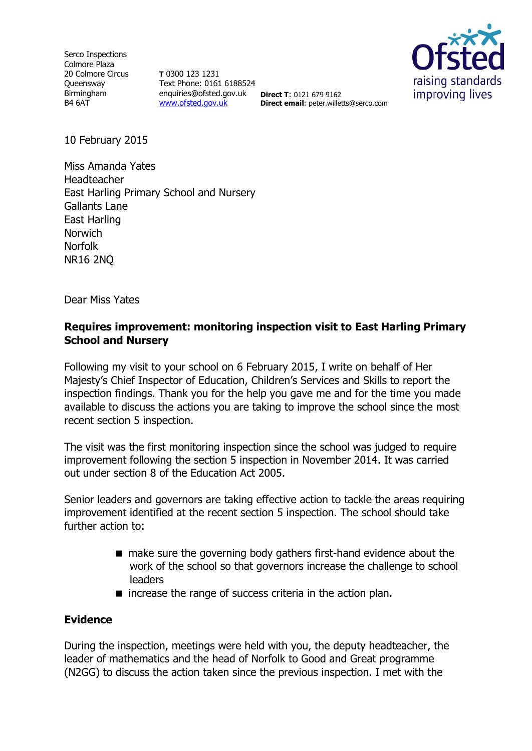Serco Inspections Colmore Plaza 20 Colmore Circus **Oueensway** Birmingham B4 6AT

**T** 0300 123 1231 Text Phone: 0161 6188524 enquiries@ofsted.gov.uk **Direct T**: 0121 679 9162 [www.ofsted.gov.uk](http://www.ofsted.gov.uk/)



**Direct email**: peter.willetts@serco.com

10 February 2015

Miss Amanda Yates Headteacher East Harling Primary School and Nursery Gallants Lane East Harling **Norwich** Norfolk NR16 2NQ

Dear Miss Yates

### **Requires improvement: monitoring inspection visit to East Harling Primary School and Nursery**

Following my visit to your school on 6 February 2015, I write on behalf of Her Majesty's Chief Inspector of Education, Children's Services and Skills to report the inspection findings. Thank you for the help you gave me and for the time you made available to discuss the actions you are taking to improve the school since the most recent section 5 inspection.

The visit was the first monitoring inspection since the school was judged to require improvement following the section 5 inspection in November 2014. It was carried out under section 8 of the Education Act 2005.

Senior leaders and governors are taking effective action to tackle the areas requiring improvement identified at the recent section 5 inspection. The school should take further action to:

- make sure the governing body gathers first-hand evidence about the work of the school so that governors increase the challenge to school leaders
- $\blacksquare$  increase the range of success criteria in the action plan.

#### **Evidence**

During the inspection, meetings were held with you, the deputy headteacher, the leader of mathematics and the head of Norfolk to Good and Great programme (N2GG) to discuss the action taken since the previous inspection. I met with the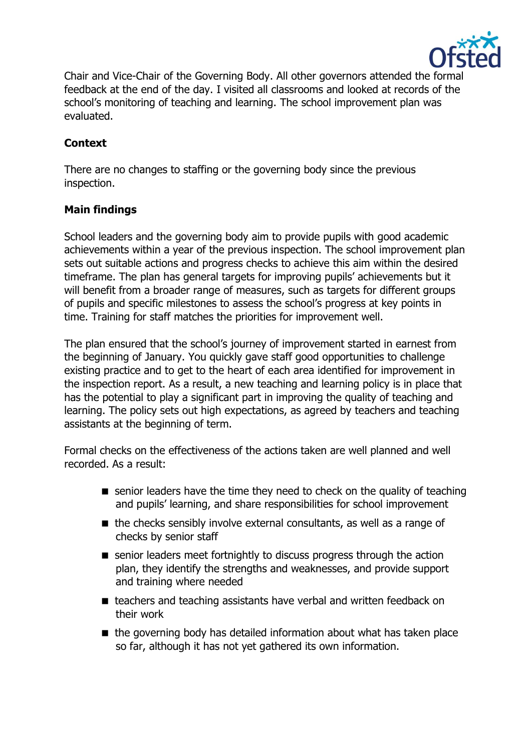

Chair and Vice-Chair of the Governing Body. All other governors attended the formal feedback at the end of the day. I visited all classrooms and looked at records of the school's monitoring of teaching and learning. The school improvement plan was evaluated.

# **Context**

There are no changes to staffing or the governing body since the previous inspection.

## **Main findings**

School leaders and the governing body aim to provide pupils with good academic achievements within a year of the previous inspection. The school improvement plan sets out suitable actions and progress checks to achieve this aim within the desired timeframe. The plan has general targets for improving pupils' achievements but it will benefit from a broader range of measures, such as targets for different groups of pupils and specific milestones to assess the school's progress at key points in time. Training for staff matches the priorities for improvement well.

The plan ensured that the school's journey of improvement started in earnest from the beginning of January. You quickly gave staff good opportunities to challenge existing practice and to get to the heart of each area identified for improvement in the inspection report. As a result, a new teaching and learning policy is in place that has the potential to play a significant part in improving the quality of teaching and learning. The policy sets out high expectations, as agreed by teachers and teaching assistants at the beginning of term.

Formal checks on the effectiveness of the actions taken are well planned and well recorded. As a result:

- senior leaders have the time they need to check on the quality of teaching and pupils' learning, and share responsibilities for school improvement
- $\blacksquare$  the checks sensibly involve external consultants, as well as a range of checks by senior staff
- senior leaders meet fortnightly to discuss progress through the action plan, they identify the strengths and weaknesses, and provide support and training where needed
- teachers and teaching assistants have verbal and written feedback on their work
- $\blacksquare$  the governing body has detailed information about what has taken place so far, although it has not yet gathered its own information.